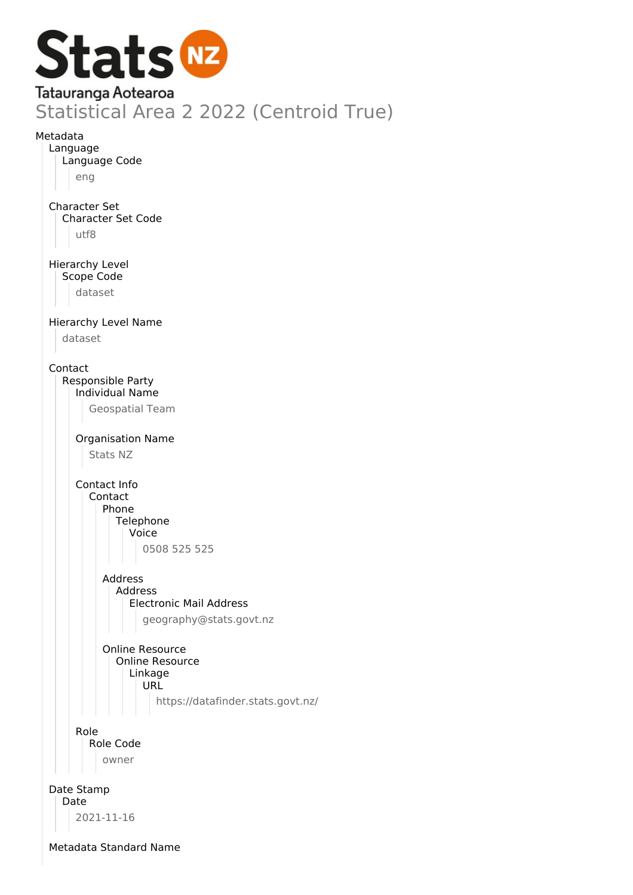

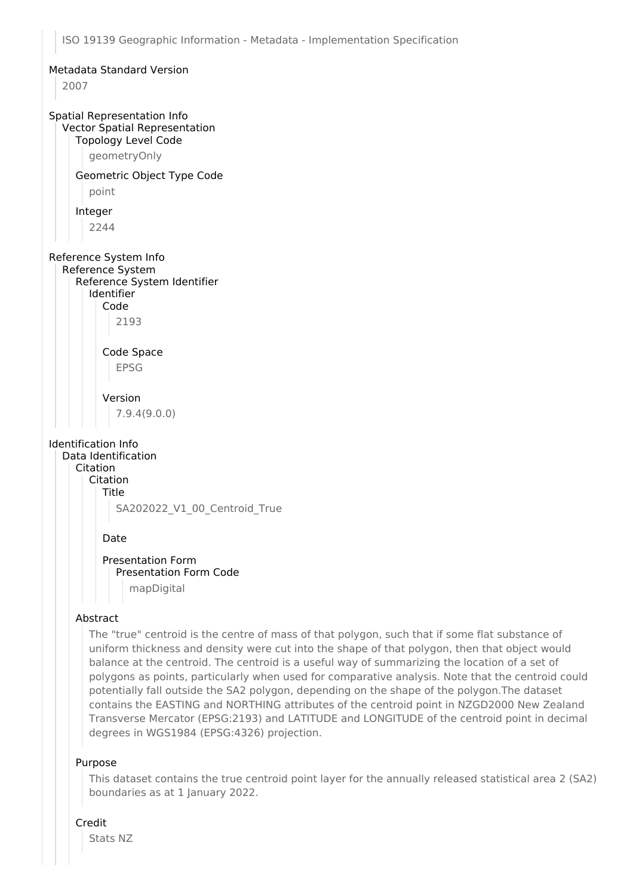#### Metadata Standard Version

2007

## Spatial Representation Info Vector Spatial Representation

### Topology Level Code

geometryOnly

# Geometric Object Type Code

point

#### Integer

2244

## Reference System Info

Reference System Reference System Identifier

## Identifier

Code

# 2193

Code Space EPSG

# Version

7.9.4(9.0.0)

## Identification Info

Data Identification Citation Citation Title SA202022\_V1\_00\_Centroid\_True

### Date

Presentation Form Presentation Form Code mapDigital

### Abstract

The "true" centroid is the centre of mass of that polygon, such that if some flat substance of uniform thickness and density were cut into the shape of that polygon, then that object would balance at the centroid. The centroid is a useful way of summarizing the location of a set of polygons as points, particularly when used for comparative analysis. Note that the centroid could potentially fall outside the SA2 polygon, depending on the shape of the polygon.The dataset contains the EASTING and NORTHING attributes of the centroid point in NZGD2000 New Zealand Transverse Mercator (EPSG:2193) and LATITUDE and LONGITUDE of the centroid point in decimal degrees in WGS1984 (EPSG:4326) projection.

### Purpose

This dataset contains the true centroid point layer for the annually released statistical area 2 (SA2) boundaries as at 1 January 2022.

### Credit

Stats NZ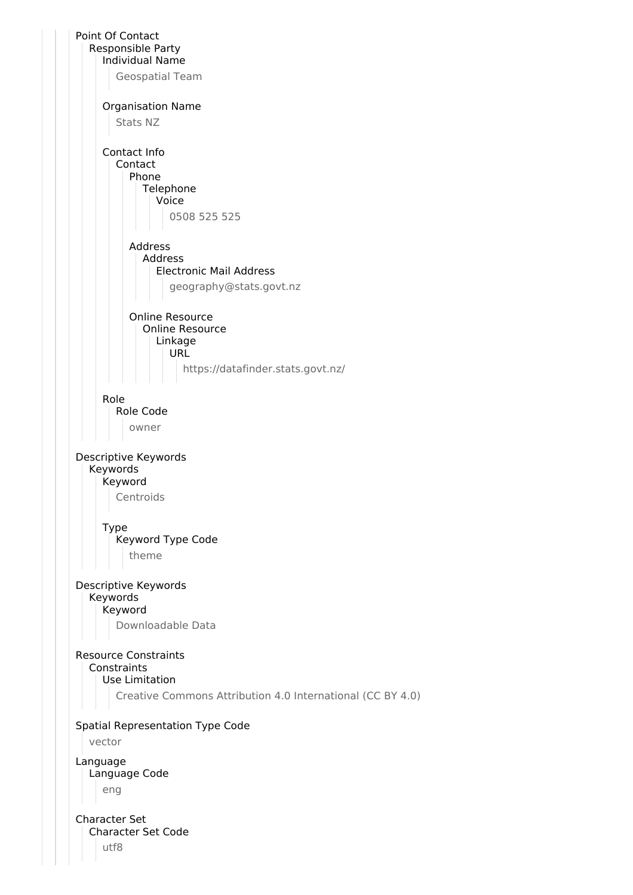